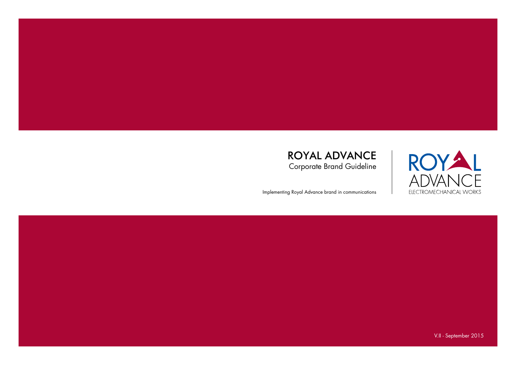

Implementing Royal Advance brand in communications



V.II - September 2015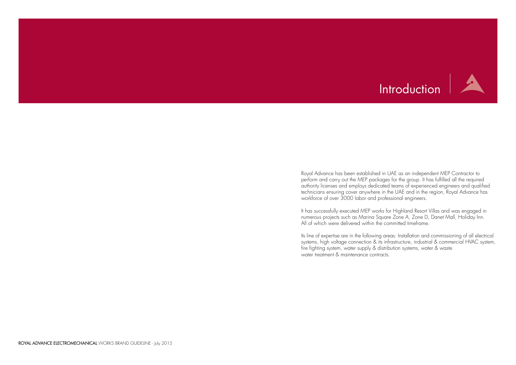# Introduction

Royal Advance has been established in UAE as an independent MEP Contractor to perform and carry out the MEP packages for the group. It has fulfilled all the required authority licenses and employs dedicated teams of experienced engineers and qualified technicians ensuring cover anywhere in the UAE and in the region, Royal Advance has workforce of over 3000 labor and professional engineers.

It has successfully executed MEP works for Highland Resort Villas and was engaged in numerous projects such as Marina Square Zone A, Zone D, Danet Mall, Holiday Inn. All of which were delivered within the committed timeframe.

Its line of expertise are in the following areas: Installation and commissioning of all electrical systems, high voltage connection & its infrastructure, industrial & commercial HVAC system, fire fighting system, water supply & distribution systems, water & waste water treatment & maintenance contracts.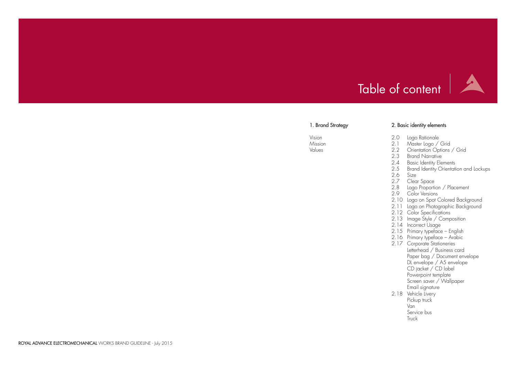# Table of content

# 1. Brand Strategy

- 2.0 Logo Rationale 2.1 Master Logo / Grid
- 2.2 Orientation Options / Grid
- 2.3 Brand Narrative
- 
- 2.4 Basic Identity Elements<br>2.5 Brand Identity Orientati Brand Identity Orientation and Lockups

 $\overline{\phantom{a}}$ 

Vision Mission Values

# 2. Basic identity elements

- 2.6 Size
- 2.7 Clear Space
- 2.8 Logo Proportion / Placement
- 2.9 Color Versions
- 2.10 Logo on Spot Colored Background
- 2.11 Logo on Photographic Background
- 2.12 Color Specifications
- 2.13 Image Style / Composition
- 2.14 Incorrect Usage
- 2.15 Primary typeface English
- 2.16 Primary typeface Arabic
- 2.17 Corporate Stationeries Letterhead / Business card Paper bag / Document envelope DL envelope / A5 envelope CD jacket / CD label Powerpoint template Screen saver / Wallpaper Email signature
- 2.18 Vehicle Livery Pickup truck Van Service bus Truck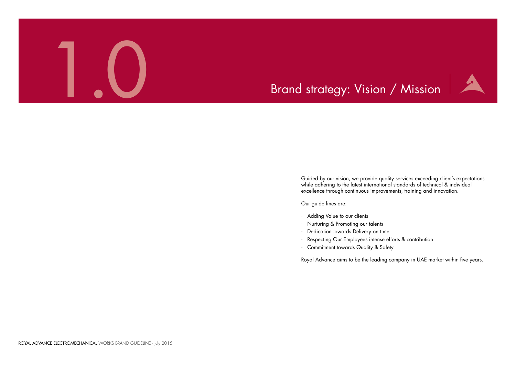

Guided by our vision, we provide quality services exceeding client's expectations while adhering to the latest international standards of technical & individual excellence through continuous improvements, training and innovation.

Our guide lines are:

- · Adding Value to our clients
- · Nurturing & Promoting our talents
- · Dedication towards Delivery on time
- Respecting Our Employees intense efforts & contribution
- · Commitment towards Quality & Safety

Royal Advance aims to be the leading company in UAE market within five years.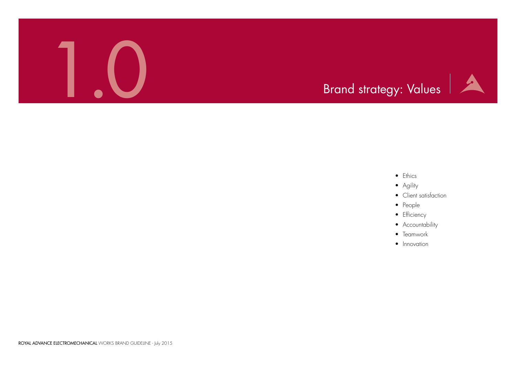ROYAL ADVANCE ELECTROMECHANICAL WORKS BRAND GUIDELINE - July 2015

- Ethics
- Agility
- Client satisfaction
- People
- Efficiency
- Accountability
- Teamwork
- Innovation



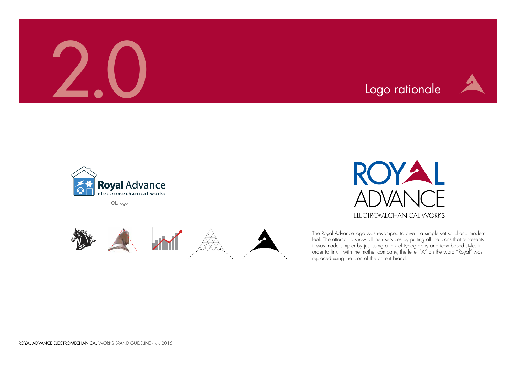The Royal Advance logo was revamped to give it a simple yet solid and modern feel. The attempt to show all their services by putting all the icons that represents it was made simpler by just using a mix of typography and icon based style. In order to link it with the mother company, the letter "A" on the word "Royal" was replaced using the icon of the parent brand.

Old logo









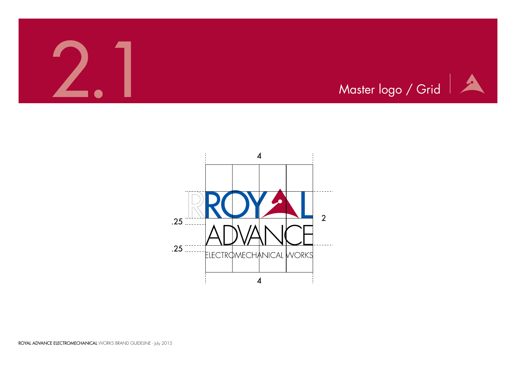

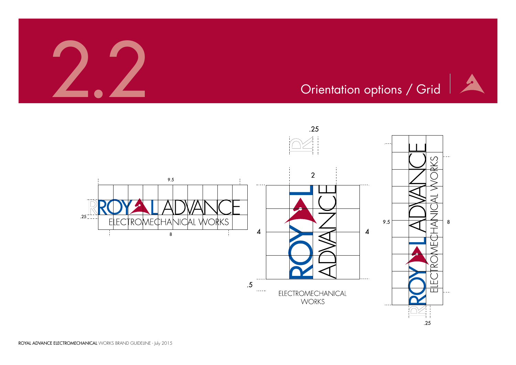





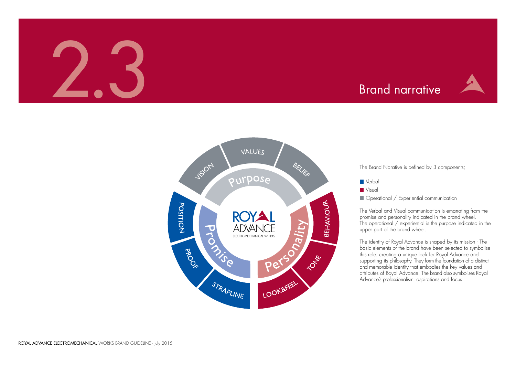# Brand narrative

The Brand Narative is defined by 3 components;

**Operational / Experiential communication** 



The identity of Royal Advance is shaped by its mission - The basic elements of the brand have been selected to symbolise this role, creating a unique look for Royal Advance and supporting its philosophy. They form the foundation of a distinct and memorable identity that embodies the key values and attributes of Royal Advance. The brand also symbolises Royal Advance's professionalism, aspirations and focus.

The Verbal and Visual communication is emanating from the promise and personality indicated in the brand wheel. The operational / experiential is the purpose indicated in the upper part of the brand wheel.

# 2.3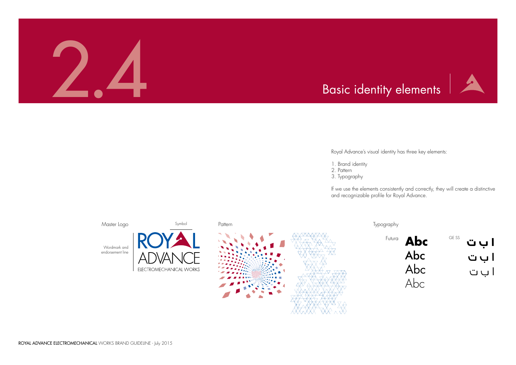



Royal Advance's visual identity has three key elements:

- 1. Brand identity
- 2. Pattern
- 3. Typography

If we use the elements consistently and correctly, they will create a distinctive and recognizable profile for Royal Advance.



Futura GE SS **Abc** Abc Abc Abc **ا ب ت** ا ب ت ا ب ت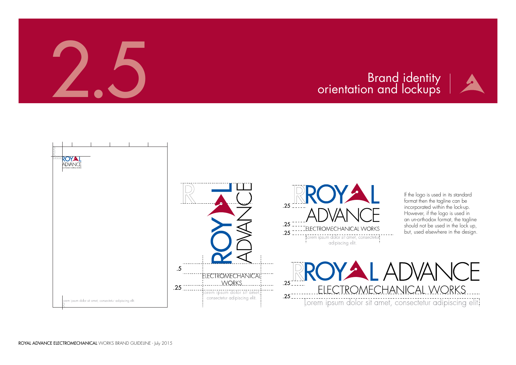

# Brand identity<br>The Dientation and lockups

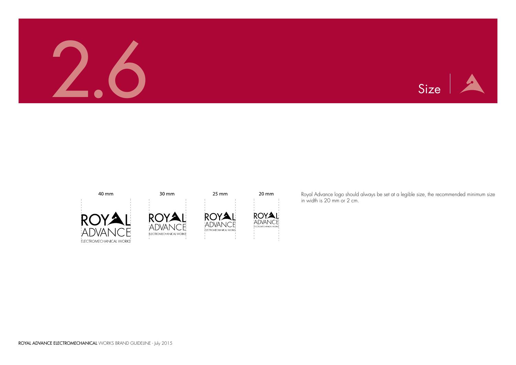





40 mm





 $30 \, \text{mm}$ 



 $25 \text{ mm}$ 

20 mm



Royal Advance logo should always be set at a legible size, the recommended minimum size in width is 20 mm or 2 cm.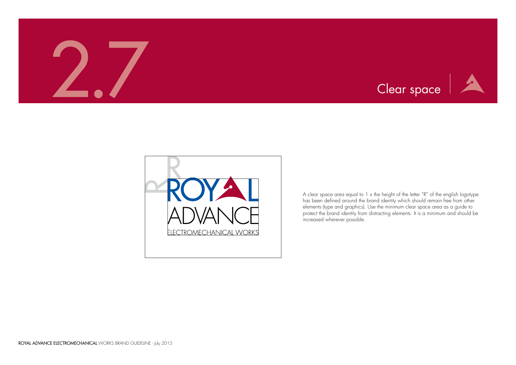





A clear space area equal to 1 x the height of the letter "R" of the english logotype has been defined around the brand identity which should remain free from other elements (type and graphics). Use the minimum clear space area as a guide to protect the brand identity from distracting elements. It is a minimum and should be increased wherever possible.

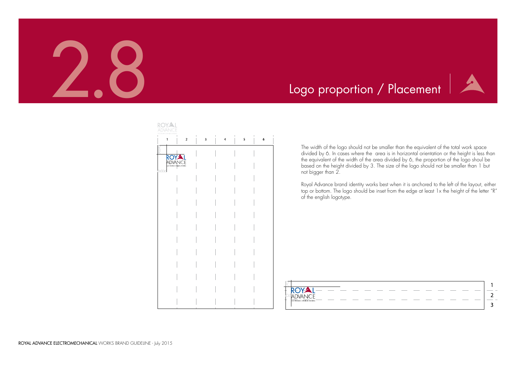





The width of the logo should not be smaller than the equivalent of the total work space divided by 6. In cases where the area is in horizontal orientation or the height is less than the equivalent of the width of the area divided by 6, the proportion of the logo shoul be based on the height divided by 3. The size of the logo should not be smaller than 1 but not bigger than 2.

Royal Advance brand identity works best when it is anchored to the left of the layout, either top or bottom. The logo should be inset from the edge at least 1x the height of the letter "R" of the english logotype.

| ELECTROMECHANICAL WORKS |  |  |  |
|-------------------------|--|--|--|
|                         |  |  |  |

# Logo proportion / Placement

| ROYAL<br>ADVANCE                               |                |                         |                              |                             |   |   |
|------------------------------------------------|----------------|-------------------------|------------------------------|-----------------------------|---|---|
| $\mathbf{1}$                                   | $\overline{2}$ | $\overline{\mathbf{3}}$ | $\mathbb{I}$<br>$\mathbf{L}$ | $\,$ $\,$<br>$\overline{a}$ | 5 | 6 |
| ROYAL<br>ADVANCE<br>ELETROMECHANCAL WORKS<br>¥ |                |                         |                              |                             |   |   |
|                                                |                |                         |                              |                             |   |   |
|                                                |                |                         |                              |                             |   |   |
|                                                |                |                         |                              |                             |   |   |
|                                                |                |                         |                              |                             |   |   |
|                                                |                |                         |                              |                             |   |   |
|                                                |                |                         |                              |                             |   |   |
|                                                |                |                         |                              |                             |   |   |
|                                                |                |                         |                              |                             |   |   |
|                                                |                |                         |                              |                             |   |   |
|                                                |                |                         |                              |                             |   |   |
|                                                |                |                         |                              |                             |   |   |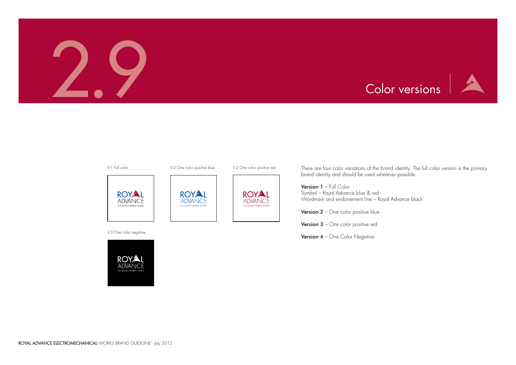







There are four color variations of the brand identity. The full color version is the primary brand identity and should be used wherever possible.

Version 1 - Full Color Symbol – Royal Advance blue & red Wordmark and endorsement line – Royal Advance black

**Version 2** – One color positive blue

Version 3 - One color positive red

Version 4 - One Color Negative

V.3 One color negative





V.1 Full color **V.2 One color positive blue** V.2 One color positive red





A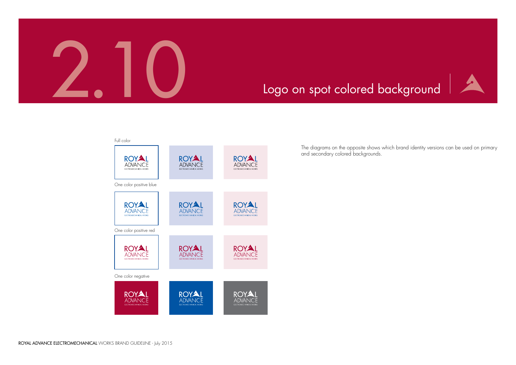



# Logo on spot colored background

The diagrams on the opposite shows which brand identity versions can be used on primary and secondary colored backgrounds.

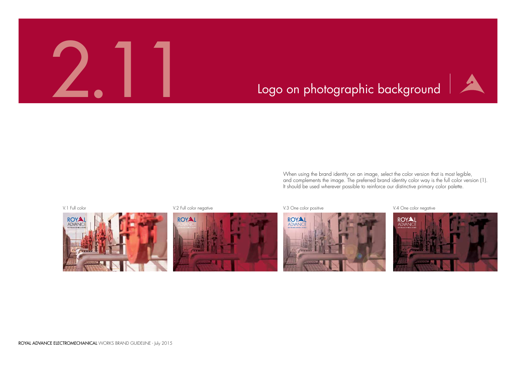V.1 Full color Negative V.2 Full color negative V.3 One color positive V.3 One color positive V.4 One color negative





When using the brand identity on an image, select the color version that is most legible, and complements the image. The preferred brand identity color way is the full color version (1). It should be used wherever possible to reinforce our distinctive primary color palette.







# Logo on photographic background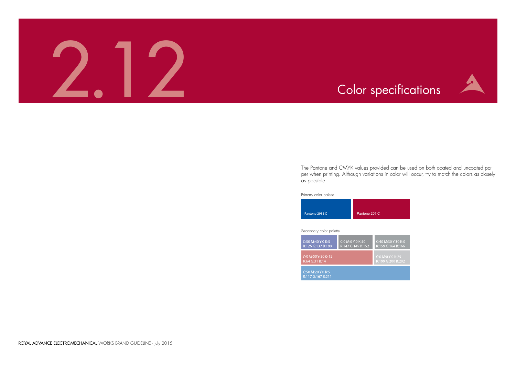

0 Y:30 K:0<br>64 B:166



The Pantone and CMYK values provided can be used on both coated and uncoated paper when printing. Although variations in color will occur, try to match the colors as closely as possible.

Primary color palette

# Secondary color palette

| Pantone 2935 C | Pantone 207 C |
|----------------|---------------|

| <u>C:50</u> M:40 Y:0 K:5<br>R:126 G:137 B:190 | C:0 M:0 Y:0 K:50<br>R:147 G:149 B:152 | C:40 M:3<br>R:159 G: |
|-----------------------------------------------|---------------------------------------|----------------------|
| C:0 M:50 Y:30 K:15<br>R:64 G:31 B:14          |                                       | C:0 M:0'<br>R:199 G. |
| C:50 M:20 Y:0 K:5<br>R:117 G:167 B:211        |                                       |                      |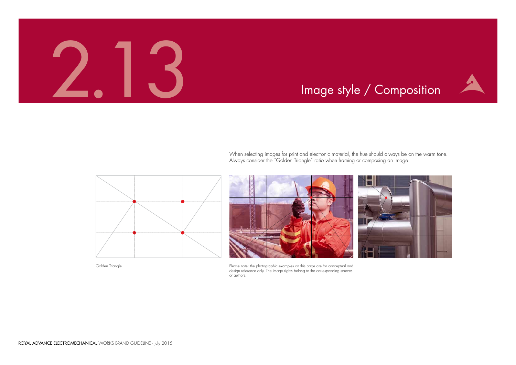# Image style / Composition



When selecting images for print and electronic material, the hue should always be on the warm tone. Always consider the "Golden Triangle" ratio when framing or composing an image.





Please note: the photographic examples on this page are for conceptual and design reference only. The image rights belong to the corresponding sources or authors.

Golden Triangle

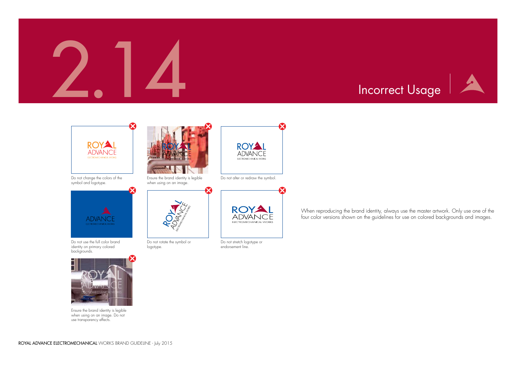

When reproducing the brand identity, always use the master artwork. Only use one of the four color versions shown on the guidelines for use on colored backgrounds and images.

2.14 Incorrect Usage



Do not change the colors of the symbol and logotype.



Do not use the full color brand identity on primary colored backgrounds.



Ensure the brand identity is legible when using on an image. Do not use transparency effects.



Do not rotate the symbol or logotype.



Do not stretch logotype or endorsement line.



Ensure the brand identity is legible when using on an image.



Do not alter or redraw the symbol.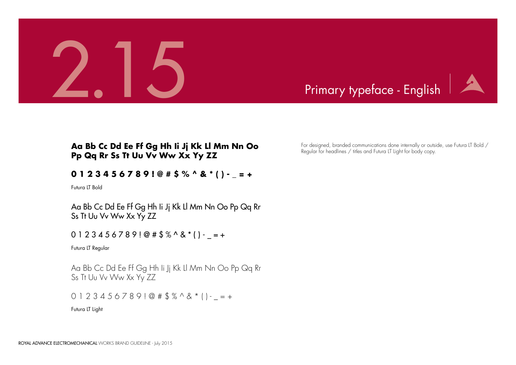



For designed, branded communications done internally or outside, use Futura LT Bold / Regular for headlines / titles and Futura LT Light for body copy.

Futura LT Bold

Futura LT Regular

Futura LT Light

# **Aa Bb Cc Dd Ee Ff Gg Hh Ii Jj Kk Ll Mm Nn Oo Pp Qq Rr Ss Tt Uu Vv Ww Xx Yy ZZ**

# **0 1 2 3 4 5 6 7 8 9 ! @ # \$ % ^ & \* ( ) - \_ = +**

Aa Bb Cc Dd Ee Ff Gg Hh Ii Jj Kk Ll Mm Nn Oo Pp Qq Rr Ss Tt Uu Vv Ww Xx Yy ZZ

 $0 1 2 3 4 5 6 7 8 9 1 @ # $%^0 8^*() - = +$ 

Aa Bb Cc Dd Ee Ff Gg Hh Ii Jj Kk Ll Mm Nn Oo Pp Qq Rr Ss Tt Uu Vv Ww Xx Yy ZZ

 $0 1 2 3 4 5 6 7 8 9 1 @ # $%^0 @ * 1 - = +$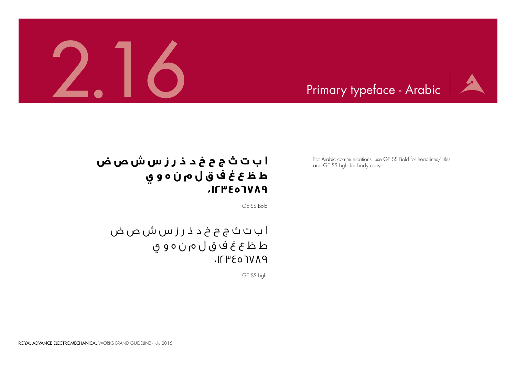



ا ب ت ث ج ح خ د ذ ر ز س ش ص ض ط ظ ع غ ف ق ل م ن ه و ي DAVT03471.

For Arabic communications, use GE SS Bold for headlines/titles and GE SS Light for body copy.

GE SS Bold

GE SS Light

# **ا ب ت ث ج ح خ د ذ ر ز س ش ص ض ط ظ ع غ ف ق ل م ن ه و ي 0123456789**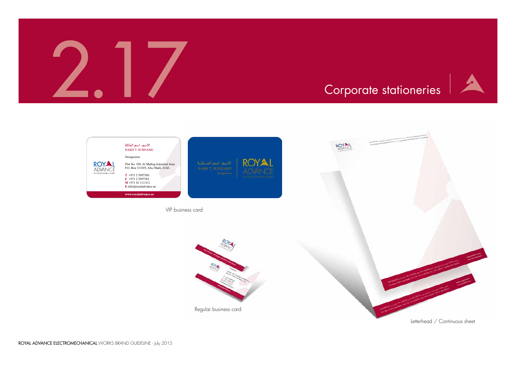



Letterhead / Continuous sheet





Regular business card

VIP business card

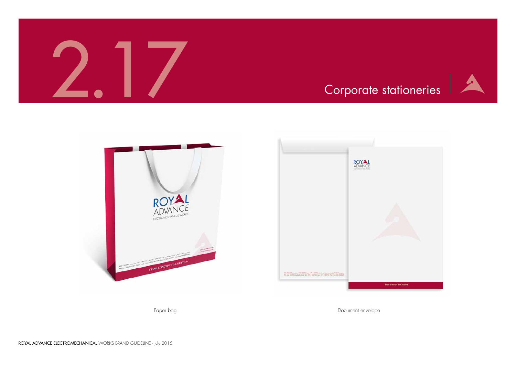







Paper bag die bag die staat van die bestelling van die bag die bag die bag die bag die bag die bag die bag die b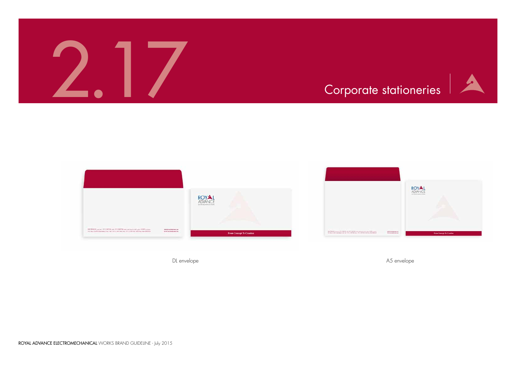ROYAL ADVANCE ELECTROMECHANICAL WORKS BRAND GUIDELINE - July 2015



A

DL envelope A5 envelope



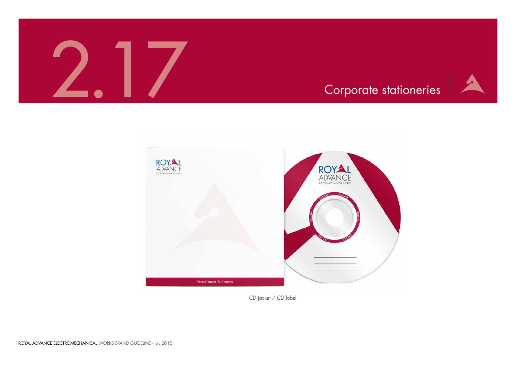



CD jacket / CD label



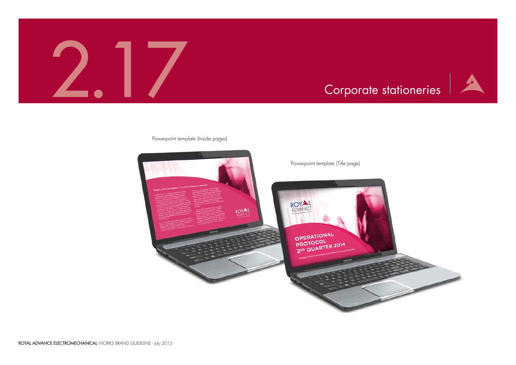



# Powerpoint template (Inside pages)

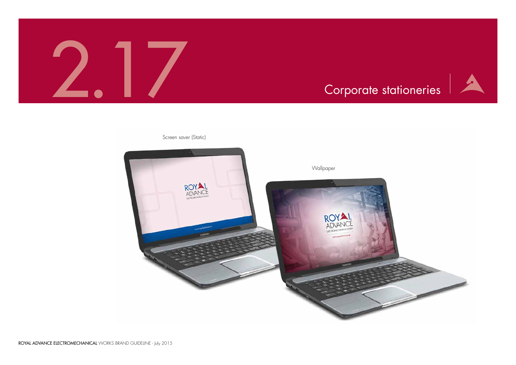![](_page_27_Picture_5.jpeg)

![](_page_27_Picture_2.jpeg)

![](_page_27_Picture_0.jpeg)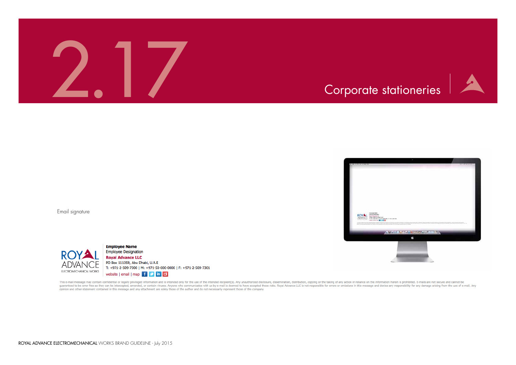![](_page_28_Picture_0.jpeg)

![](_page_28_Picture_2.jpeg)

Email signature

![](_page_28_Picture_4.jpeg)

**Employee Name Employee Designation Royal Advance LLC** PO Box 111059, Abu Dhabi, U.A.E T: +971-2-509-7300 | M: +971-50-000-0000 | F: +971-2-509-7301 website | email | map | f | s | in | d |

This e-mail message may contain confidential or legally privileged information and is intended only for the use of the intended recipient(s). Any unauthorized disclosure, dissemination, distribution, copying or the taking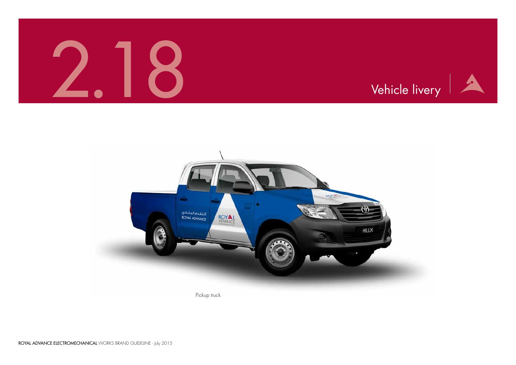![](_page_29_Picture_5.jpeg)

![](_page_29_Picture_0.jpeg)

![](_page_29_Picture_1.jpeg)

![](_page_29_Picture_2.jpeg)

Pickup truck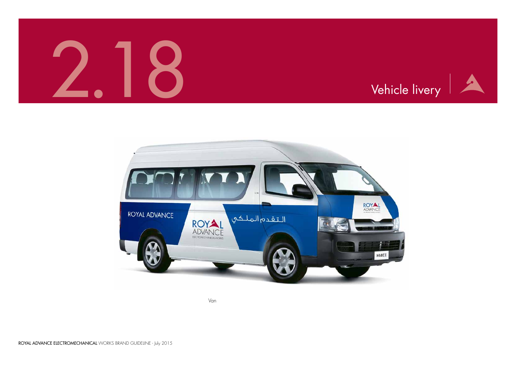![](_page_30_Picture_5.jpeg)

Van

![](_page_30_Picture_0.jpeg)

![](_page_30_Picture_2.jpeg)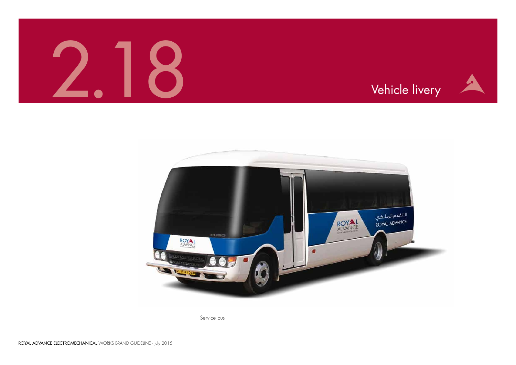![](_page_31_Picture_5.jpeg)

Service bus

![](_page_31_Picture_0.jpeg)

![](_page_31_Picture_1.jpeg)

![](_page_31_Picture_2.jpeg)